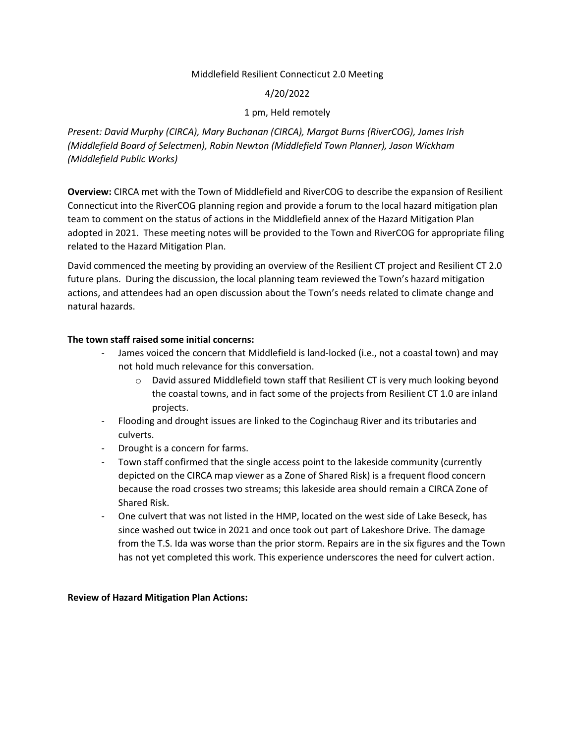#### Middlefield Resilient Connecticut 2.0 Meeting

### 4/20/2022

## 1 pm, Held remotely

*Present: David Murphy (CIRCA), Mary Buchanan (CIRCA), Margot Burns (RiverCOG), James Irish (Middlefield Board of Selectmen), Robin Newton (Middlefield Town Planner), Jason Wickham (Middlefield Public Works)*

**Overview:** CIRCA met with the Town of Middlefield and RiverCOG to describe the expansion of Resilient Connecticut into the RiverCOG planning region and provide a forum to the local hazard mitigation plan team to comment on the status of actions in the Middlefield annex of the Hazard Mitigation Plan adopted in 2021. These meeting notes will be provided to the Town and RiverCOG for appropriate filing related to the Hazard Mitigation Plan.

David commenced the meeting by providing an overview of the Resilient CT project and Resilient CT 2.0 future plans. During the discussion, the local planning team reviewed the Town's hazard mitigation actions, and attendees had an open discussion about the Town's needs related to climate change and natural hazards.

## **The town staff raised some initial concerns:**

- James voiced the concern that Middlefield is land-locked (i.e., not a coastal town) and may not hold much relevance for this conversation.
	- o David assured Middlefield town staff that Resilient CT is very much looking beyond the coastal towns, and in fact some of the projects from Resilient CT 1.0 are inland projects.
- Flooding and drought issues are linked to the Coginchaug River and its tributaries and culverts.
- Drought is a concern for farms.
- Town staff confirmed that the single access point to the lakeside community (currently depicted on the CIRCA map viewer as a Zone of Shared Risk) is a frequent flood concern because the road crosses two streams; this lakeside area should remain a CIRCA Zone of Shared Risk.
- One culvert that was not listed in the HMP, located on the west side of Lake Beseck, has since washed out twice in 2021 and once took out part of Lakeshore Drive. The damage from the T.S. Ida was worse than the prior storm. Repairs are in the six figures and the Town has not yet completed this work. This experience underscores the need for culvert action.

### **Review of Hazard Mitigation Plan Actions:**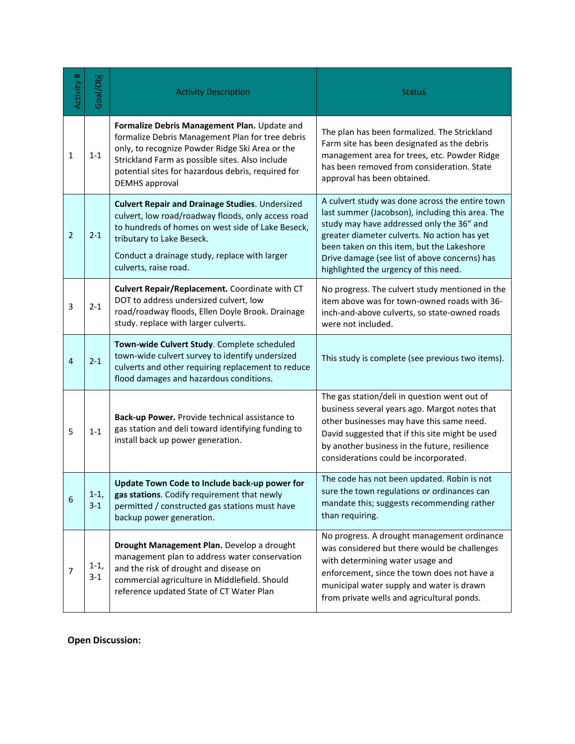| Activity #     | Goal/Obj          | <b>Activity Description</b>                                                                                                                                                                                                                                                           | <b>Status</b>                                                                                                                                                                                                                                                                                                                            |
|----------------|-------------------|---------------------------------------------------------------------------------------------------------------------------------------------------------------------------------------------------------------------------------------------------------------------------------------|------------------------------------------------------------------------------------------------------------------------------------------------------------------------------------------------------------------------------------------------------------------------------------------------------------------------------------------|
| $\mathbf{1}$   | $1 - 1$           | Formalize Debris Management Plan. Update and<br>formalize Debris Management Plan for tree debris<br>only, to recognize Powder Ridge Ski Area or the<br>Strickland Farm as possible sites. Also include<br>potential sites for hazardous debris, required for<br><b>DEMHS</b> approval | The plan has been formalized. The Strickland<br>Farm site has been designated as the debris<br>management area for trees, etc. Powder Ridge<br>has been removed from consideration. State<br>approval has been obtained.                                                                                                                 |
| $\overline{2}$ | $2 - 1$           | <b>Culvert Repair and Drainage Studies. Undersized</b><br>culvert, low road/roadway floods, only access road<br>to hundreds of homes on west side of Lake Beseck,<br>tributary to Lake Beseck.<br>Conduct a drainage study, replace with larger<br>culverts, raise road.              | A culvert study was done across the entire town<br>last summer (Jacobson), including this area. The<br>study may have addressed only the 36" and<br>greater diameter culverts. No action has yet<br>been taken on this item, but the Lakeshore<br>Drive damage (see list of above concerns) has<br>highlighted the urgency of this need. |
| 3              | $2 - 1$           | Culvert Repair/Replacement. Coordinate with CT<br>DOT to address undersized culvert, low<br>road/roadway floods, Ellen Doyle Brook. Drainage<br>study. replace with larger culverts.                                                                                                  | No progress. The culvert study mentioned in the<br>item above was for town-owned roads with 36-<br>inch-and-above culverts, so state-owned roads<br>were not included.                                                                                                                                                                   |
| 4              | $2 - 1$           | Town-wide Culvert Study. Complete scheduled<br>town-wide culvert survey to identify undersized<br>culverts and other requiring replacement to reduce<br>flood damages and hazardous conditions.                                                                                       | This study is complete (see previous two items).                                                                                                                                                                                                                                                                                         |
| 5              | $1 - 1$           | Back-up Power. Provide technical assistance to<br>gas station and deli toward identifying funding to<br>install back up power generation.                                                                                                                                             | The gas station/deli in question went out of<br>business several years ago. Margot notes that<br>other businesses may have this same need.<br>David suggested that if this site might be used<br>by another business in the future, resilience<br>considerations could be incorporated.                                                  |
| 6              | $1-1,$<br>$3 - 1$ | Update Town Code to Include back-up power for<br>gas stations. Codify requirement that newly<br>permitted / constructed gas stations must have<br>backup power generation.                                                                                                            | The code has not been updated. Robin is not<br>sure the town regulations or ordinances can<br>mandate this; suggests recommending rather<br>than requiring.                                                                                                                                                                              |
| 7              | $1-1,$<br>$3 - 1$ | Drought Management Plan. Develop a drought<br>management plan to address water conservation<br>and the risk of drought and disease on<br>commercial agriculture in Middlefield. Should<br>reference updated State of CT Water Plan                                                    | No progress. A drought management ordinance<br>was considered but there would be challenges<br>with determining water usage and<br>enforcement, since the town does not have a<br>municipal water supply and water is drawn<br>from private wells and agricultural ponds.                                                                |

**Open Discussion:**